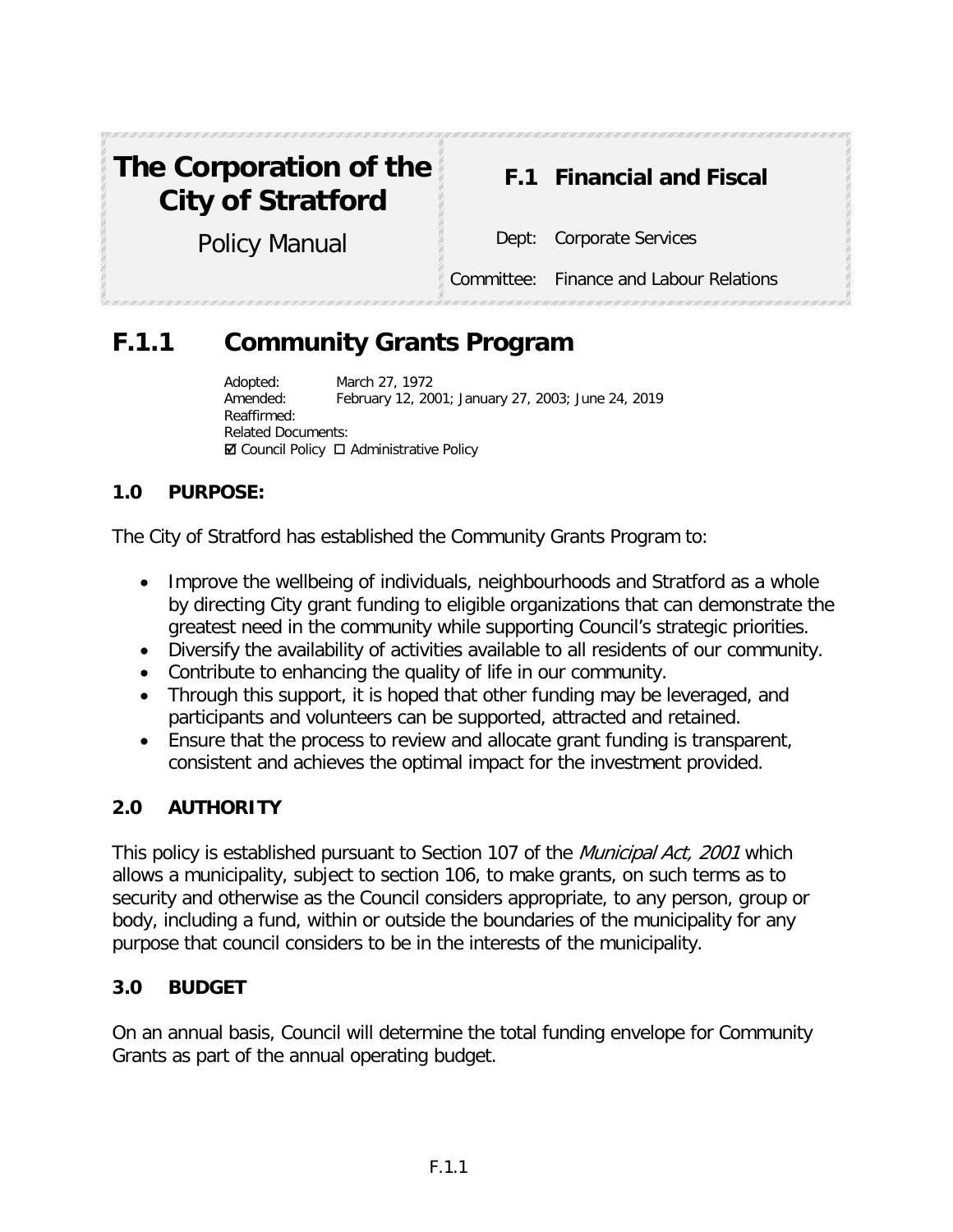# **The Corporation of the City of Stratford**

# **F.1 Financial and Fiscal**

Policy Manual Dept: Corporate Services

Committee: Finance and Labour Relations

# **F.1.1 Community Grants Program**

Adopted: March 27, 1972 Amended: February 12, 2001; January 27, 2003; June 24, 2019 Reaffirmed: Related Documents:  $\boxtimes$  Council Policy  $\Box$  Administrative Policy

# **1.0 PURPOSE:**

The City of Stratford has established the Community Grants Program to:

- Improve the wellbeing of individuals, neighbourhoods and Stratford as a whole by directing City grant funding to eligible organizations that can demonstrate the greatest need in the community while supporting Council's strategic priorities.
- Diversify the availability of activities available to all residents of our community.
- Contribute to enhancing the quality of life in our community.
- Through this support, it is hoped that other funding may be leveraged, and participants and volunteers can be supported, attracted and retained.
- Ensure that the process to review and allocate grant funding is transparent, consistent and achieves the optimal impact for the investment provided.

#### **2.0 AUTHORITY**

This policy is established pursuant to Section 107 of the *Municipal Act, 2001* which allows a municipality, subject to section 106, to make grants, on such terms as to security and otherwise as the Council considers appropriate, to any person, group or body, including a fund, within or outside the boundaries of the municipality for any purpose that council considers to be in the interests of the municipality.

#### **3.0 BUDGET**

On an annual basis, Council will determine the total funding envelope for Community Grants as part of the annual operating budget.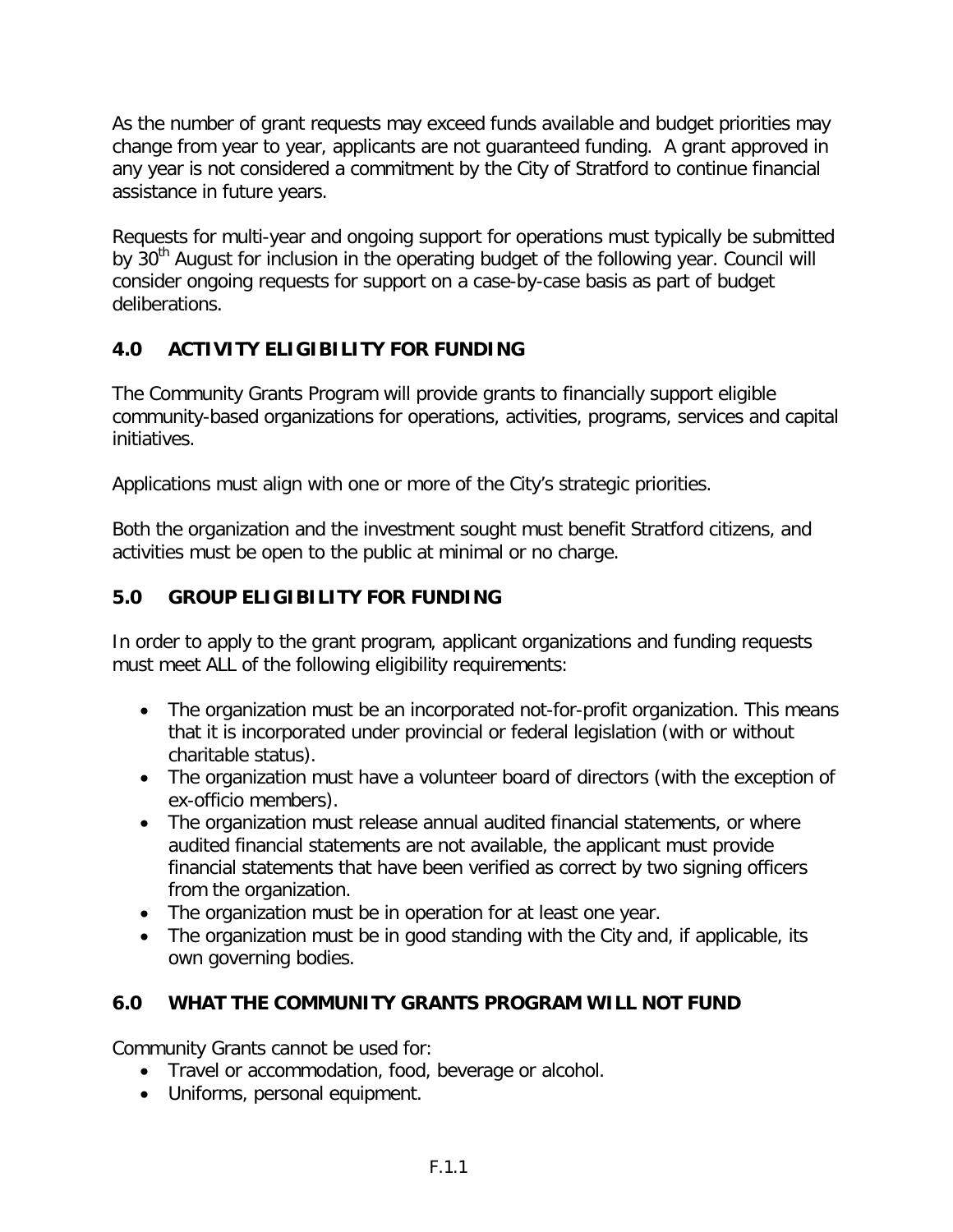As the number of grant requests may exceed funds available and budget priorities may change from year to year, applicants are not guaranteed funding. A grant approved in any year is not considered a commitment by the City of Stratford to continue financial assistance in future years.

Requests for multi-year and ongoing support for operations must typically be submitted by 30<sup>th</sup> August for inclusion in the operating budget of the following year. Council will consider ongoing requests for support on a case-by-case basis as part of budget deliberations.

# **4.0 ACTIVITY ELIGIBILITY FOR FUNDING**

The Community Grants Program will provide grants to financially support eligible community-based organizations for operations, activities, programs, services and capital initiatives.

Applications must align with one or more of the City's strategic priorities.

Both the organization and the investment sought must benefit Stratford citizens, and activities must be open to the public at minimal or no charge.

### **5.0 GROUP ELIGIBILITY FOR FUNDING**

In order to apply to the grant program, applicant organizations and funding requests must meet ALL of the following eligibility requirements:

- The organization must be an incorporated not-for-profit organization. This means that it is incorporated under provincial or federal legislation (with or without charitable status).
- The organization must have a volunteer board of directors (with the exception of ex-officio members).
- The organization must release annual audited financial statements, or where audited financial statements are not available, the applicant must provide financial statements that have been verified as correct by two signing officers from the organization.
- The organization must be in operation for at least one year.
- The organization must be in good standing with the City and, if applicable, its own governing bodies.

#### **6.0 WHAT THE COMMUNITY GRANTS PROGRAM WILL NOT FUND**

Community Grants cannot be used for:

- Travel or accommodation, food, beverage or alcohol.
- Uniforms, personal equipment.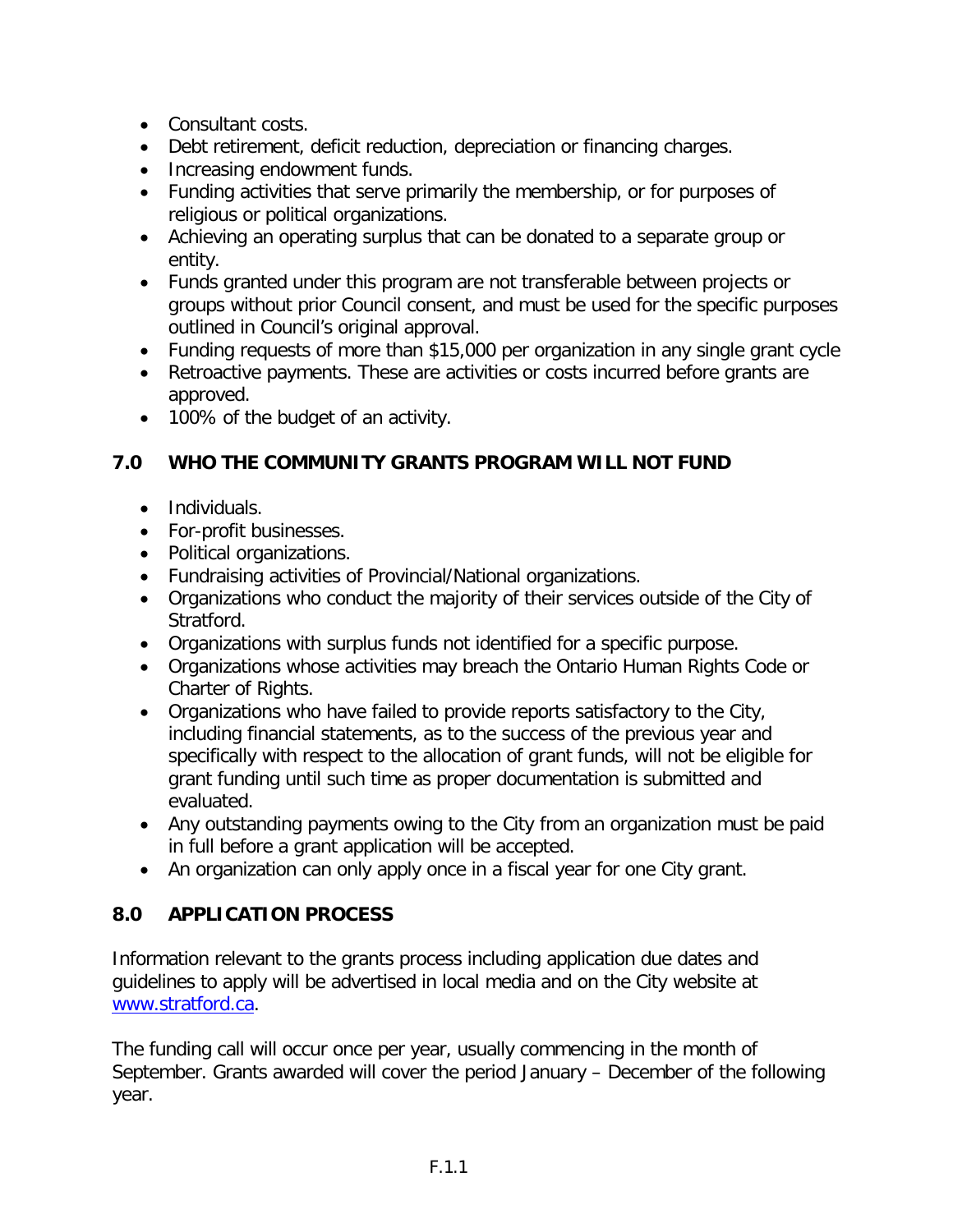- Consultant costs.
- Debt retirement, deficit reduction, depreciation or financing charges.
- Increasing endowment funds.
- Funding activities that serve primarily the membership, or for purposes of religious or political organizations.
- Achieving an operating surplus that can be donated to a separate group or entity.
- Funds granted under this program are not transferable between projects or groups without prior Council consent, and must be used for the specific purposes outlined in Council's original approval.
- Funding requests of more than \$15,000 per organization in any single grant cycle
- Retroactive payments. These are activities or costs incurred before grants are approved.
- 100% of the budget of an activity.

# **7.0 WHO THE COMMUNITY GRANTS PROGRAM WILL NOT FUND**

- Individuals.
- For-profit businesses.
- Political organizations.
- Fundraising activities of Provincial/National organizations.
- Organizations who conduct the majority of their services outside of the City of Stratford.
- Organizations with surplus funds not identified for a specific purpose.
- Organizations whose activities may breach the Ontario Human Rights Code or Charter of Rights.
- Organizations who have failed to provide reports satisfactory to the City, including financial statements, as to the success of the previous year and specifically with respect to the allocation of grant funds, will not be eligible for grant funding until such time as proper documentation is submitted and evaluated.
- Any outstanding payments owing to the City from an organization must be paid in full before a grant application will be accepted.
- An organization can only apply once in a fiscal year for one City grant.

# **8.0 APPLICATION PROCESS**

Information relevant to the grants process including application due dates and guidelines to apply will be advertised in local media and on the City website at [www.stratford.ca.](http://www.stratford.ca/)

The funding call will occur once per year, usually commencing in the month of September. Grants awarded will cover the period January – December of the following year.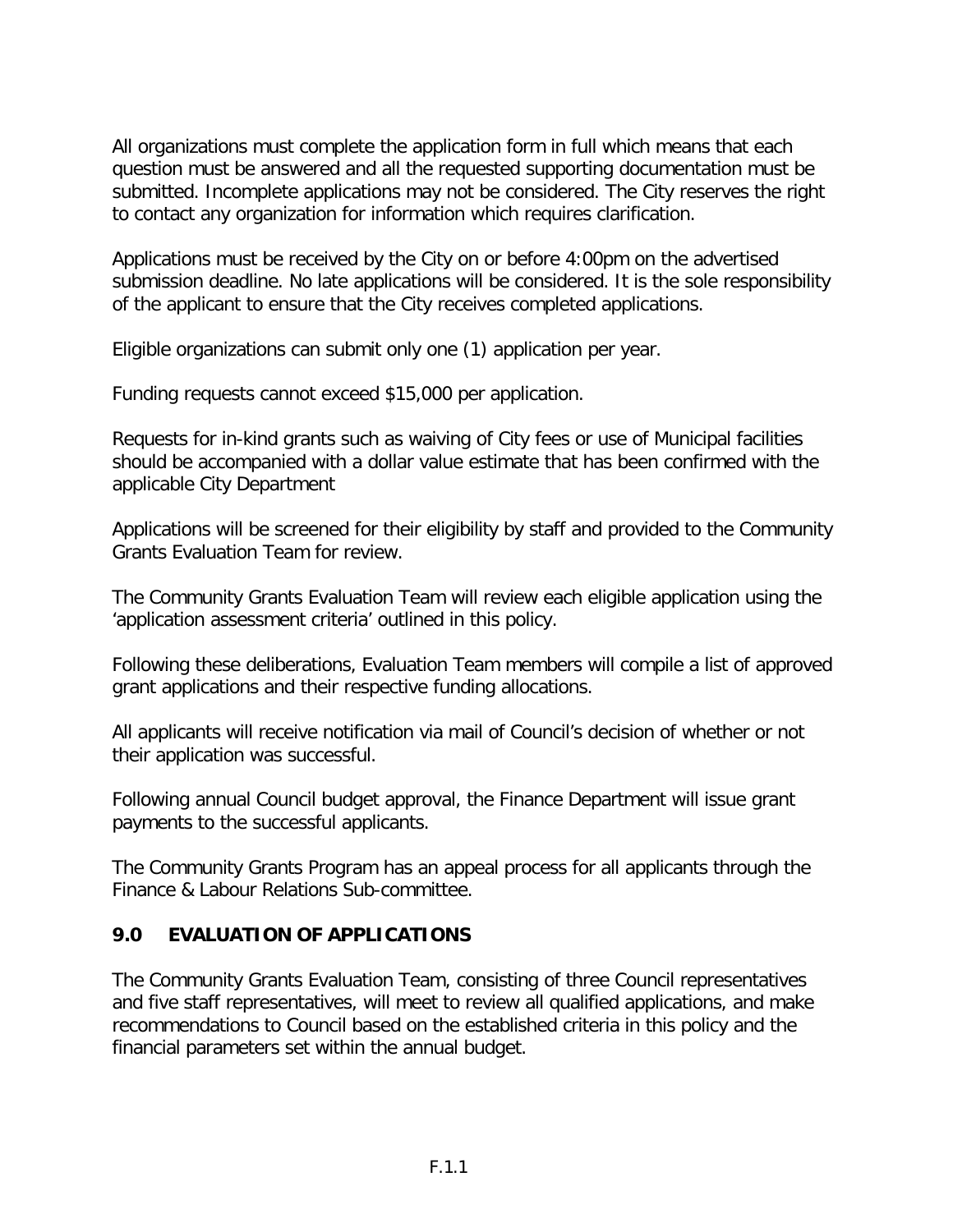All organizations must complete the application form in full which means that each question must be answered and all the requested supporting documentation must be submitted. Incomplete applications may not be considered. The City reserves the right to contact any organization for information which requires clarification.

Applications must be received by the City on or before 4:00pm on the advertised submission deadline. No late applications will be considered. It is the sole responsibility of the applicant to ensure that the City receives completed applications.

Eligible organizations can submit only one (1) application per year.

Funding requests cannot exceed \$15,000 per application.

Requests for in-kind grants such as waiving of City fees or use of Municipal facilities should be accompanied with a dollar value estimate that has been confirmed with the applicable City Department

Applications will be screened for their eligibility by staff and provided to the Community Grants Evaluation Team for review.

The Community Grants Evaluation Team will review each eligible application using the 'application assessment criteria' outlined in this policy.

Following these deliberations, Evaluation Team members will compile a list of approved grant applications and their respective funding allocations.

All applicants will receive notification via mail of Council's decision of whether or not their application was successful.

Following annual Council budget approval, the Finance Department will issue grant payments to the successful applicants.

The Community Grants Program has an appeal process for all applicants through the Finance & Labour Relations Sub-committee.

#### **9.0 EVALUATION OF APPLICATIONS**

The Community Grants Evaluation Team, consisting of three Council representatives and five staff representatives, will meet to review all qualified applications, and make recommendations to Council based on the established criteria in this policy and the financial parameters set within the annual budget.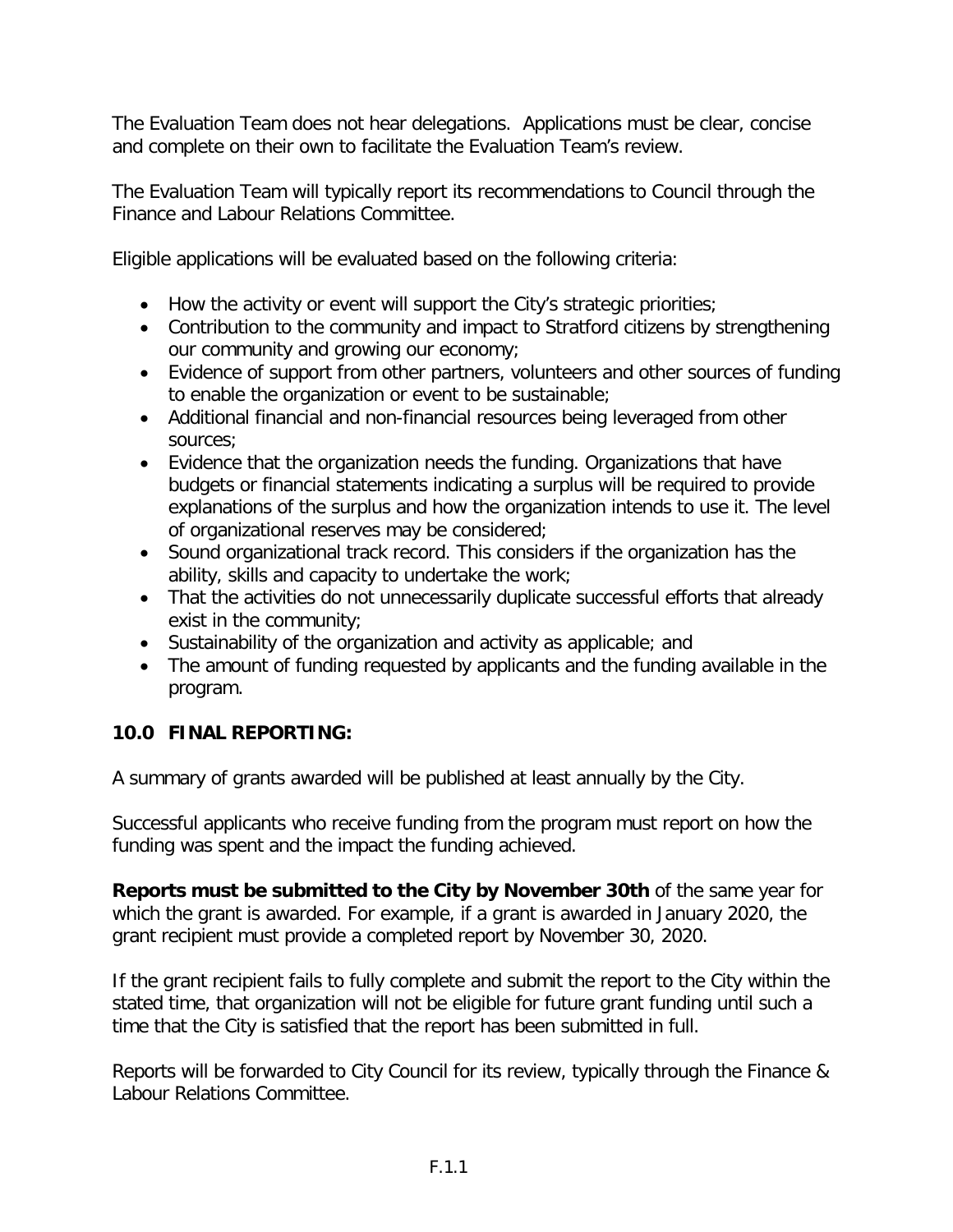The Evaluation Team does not hear delegations. Applications must be clear, concise and complete on their own to facilitate the Evaluation Team's review.

The Evaluation Team will typically report its recommendations to Council through the Finance and Labour Relations Committee.

Eligible applications will be evaluated based on the following criteria:

- How the activity or event will support the City's strategic priorities;
- Contribution to the community and impact to Stratford citizens by strengthening our community and growing our economy;
- Evidence of support from other partners, volunteers and other sources of funding to enable the organization or event to be sustainable;
- Additional financial and non-financial resources being leveraged from other sources;
- Evidence that the organization needs the funding. Organizations that have budgets or financial statements indicating a surplus will be required to provide explanations of the surplus and how the organization intends to use it. The level of organizational reserves may be considered;
- Sound organizational track record. This considers if the organization has the ability, skills and capacity to undertake the work;
- That the activities do not unnecessarily duplicate successful efforts that already exist in the community;
- Sustainability of the organization and activity as applicable; and
- The amount of funding requested by applicants and the funding available in the program.

#### **10.0 FINAL REPORTING:**

A summary of grants awarded will be published at least annually by the City.

Successful applicants who receive funding from the program must report on how the funding was spent and the impact the funding achieved.

**Reports must be submitted to the City by November 30th** of the same year for which the grant is awarded. For example, if a grant is awarded in January 2020, the grant recipient must provide a completed report by November 30, 2020.

If the grant recipient fails to fully complete and submit the report to the City within the stated time, that organization will not be eligible for future grant funding until such a time that the City is satisfied that the report has been submitted in full.

Reports will be forwarded to City Council for its review, typically through the Finance & Labour Relations Committee.